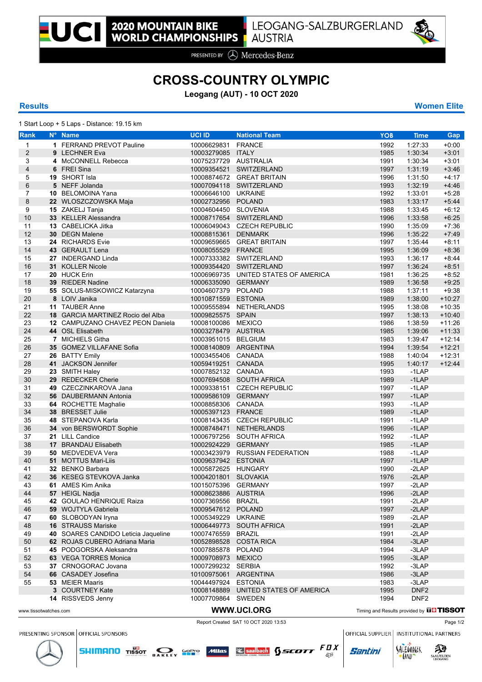

PRESENTED BY **A** Mercedes-Benz

## **CROSS-COUNTRY OLYMPIC**

**Leogang (AUT) - 10 OCT 2020**

## **Results Women Elite**

1 Start Loop + 5 Laps - Distance: 19.15 km

| Rank                  | N° Name                             | <b>UCI ID</b>         | <b>National Team</b>                 | <b>YOB</b>                                     | <b>Time</b>      | <b>Gap</b> |
|-----------------------|-------------------------------------|-----------------------|--------------------------------------|------------------------------------------------|------------------|------------|
| $\mathbf{1}$          | 1 FERRAND PREVOT Pauline            | 10006629831 FRANCE    |                                      | 1992                                           | 1:27:33          | $+0:00$    |
| $\overline{c}$        | 9 LECHNER Eva                       | 10003279085 ITALY     |                                      | 1985                                           | 1:30:34          | $+3:01$    |
| 3                     | 4 McCONNELL Rebecca                 | 10075237729 AUSTRALIA |                                      | 1991                                           | 1:30:34          | $+3:01$    |
| 4                     | 6 FREI Sina                         |                       | 10009354521 SWITZERLAND              | 1997                                           | 1:31:19          | $+3.46$    |
| 5                     | 19 SHORT Isla                       |                       | 10008874672 GREAT BRITAIN            | 1996                                           | 1:31:50          | $+4:17$    |
| 6                     | 5 NEFF Jolanda                      |                       | 10007094118 SWITZERLAND              | 1993                                           | 1:32:19          | $+4.46$    |
| 7                     | 10 BELOMOINA Yana                   | 10006646100 UKRAINE   |                                      | 1992                                           | 1:33:01          | $+5:28$    |
| 8                     | 22 WLOSZCZOWSKA Maja                | 10002732956 POLAND    |                                      | 1983                                           | 1:33:17          | $+5.44$    |
| 9                     | 15 ZAKELJ Tanja                     | 10004604450 SLOVENIA  |                                      | 1988                                           | 1:33:45          | $+6:12$    |
| 10                    | 33 KELLER Alessandra                |                       | 10008717654 SWITZERLAND              | 1996                                           | 1:33:58          | $+6.25$    |
| 11                    | 13 CABELICKA Jitka                  |                       | 10006049043 CZECH REPUBLIC           | 1990                                           | 1:35:09          | $+7:36$    |
| 12                    | <b>30 DEGN Malene</b>               | 10008815361 DENMARK   |                                      | 1996                                           | 1:35:22          | $+7.49$    |
| 13                    | 24 RICHARDS Evie                    |                       | 10009659665 GREAT BRITAIN            | 1997                                           | 1:35:44          | $+8:11$    |
| 14                    | 43 GERAULT Lena                     | 10008055529 FRANCE    |                                      | 1995                                           | 1:36:09          | $+8.36$    |
| 15                    | 27 INDERGAND Linda                  |                       | 10007333382 SWITZERLAND              | 1993                                           | 1:36:17          | $+8.44$    |
| 16                    | 31 KOLLER Nicole                    |                       | 10009354420 SWITZERLAND              | 1997                                           | 1:36:24          | $+8.51$    |
| 17                    | 20 HUCK Erin                        |                       | 10006969735 UNITED STATES OF AMERICA | 1981                                           | 1:36:25          | $+8.52$    |
| 18                    | 39 RIEDER Nadine                    | 10006335090 GERMANY   |                                      | 1989                                           | 1:36:58          | $+9.25$    |
| 19                    | 55 SOLUS-MISKOWICZ Katarzyna        | 10004607379 POLAND    |                                      | 1988                                           | 1:37:11          | $+9.38$    |
| 20                    | 8 LOIV Janika                       | 10010871559 ESTONIA   |                                      | 1989                                           | 1:38:00          | $+10:27$   |
| 21                    | 11 TAUBER Anne                      |                       | 10009555894 NETHERLANDS              | 1995                                           | 1:38:08          | $+10:35$   |
| 22                    | 18 GARCIA MARTINEZ Rocio del Alba   | 10009825575 SPAIN     |                                      | 1997                                           | 1:38:13          | $+10.40$   |
| 23                    | 12 CAMPUZANO CHAVEZ PEON Daniela    | 10008100086 MEXICO    |                                      | 1986                                           | 1:38:59          | $+11:26$   |
| 24                    | 44 OSL Elisabeth                    | 10003278479 AUSTRIA   |                                      | 1985                                           | 1:39:06          | $+11.33$   |
| 25                    | 7 MICHIELS Githa                    | 10003951015 BELGIUM   |                                      | 1983                                           | 1:39:47          | $+12:14$   |
| 26                    | 35 GOMEZ VILLAFANE Sofia            | 10008140809 ARGENTINA |                                      | 1994                                           | 1:39:54          | $+12:21$   |
| 27                    | 26 BATTY Emily                      | 10003455406 CANADA    |                                      | 1988                                           | 1:40:04          | $+12:31$   |
| 28                    | 41 JACKSON Jennifer                 | 10059419251 CANADA    |                                      | 1995                                           | 1:40:17          | $+12.44$   |
| 29                    | 23 SMITH Haley                      | 10007852132 CANADA    |                                      | 1993                                           | $-1$ LAP         |            |
| 30                    | 29 REDECKER Cherie                  |                       | 10007694508 SOUTH AFRICA             | 1989                                           | $-1$ LAP         |            |
| 31                    | 49 CZECZINKAROVA Jana               |                       | 10009338151 CZECH REPUBLIC           | 1997                                           | $-1$ LAP         |            |
| 32                    | 56 DAUBERMANN Antonia               | 10009586109 GERMANY   |                                      | 1997                                           | $-1$ LAP         |            |
| 33                    | 64 ROCHETTE Maghalie                | 10008858306 CANADA    |                                      | 1993                                           | $-1$ LAP         |            |
| 34                    | 38 BRESSET Julie                    | 10005397123 FRANCE    |                                      | 1989                                           | $-1LAP$          |            |
| 35                    | 48 STEPANOVA Karla                  |                       | 10008143435 CZECH REPUBLIC           | 1991                                           | $-1$ LAP         |            |
| 36                    | 34 von BERSWORDT Sophie             |                       | 10008748471 NETHERLANDS              | 1996                                           | $-1LAP$          |            |
| 37                    | 21 LILL Candice                     |                       | 10006797256 SOUTH AFRICA             | 1992                                           | $-1LAP$          |            |
| 38                    | 17 BRANDAU Elisabeth                | 10002924229 GERMANY   |                                      | 1985                                           | $-1$ LAP         |            |
| 39                    | <b>50 MEDVEDEVA Vera</b>            |                       | 10003423979 RUSSIAN FEDERATION       | 1988                                           | $-1$ LAP         |            |
| 40                    | 51 MOTTUS Mari-Liis                 | 10009637942 ESTONIA   |                                      | 1997                                           | $-1LAP$          |            |
| 41                    | 32 BENKO Barbara                    | 10005872625 HUNGARY   |                                      | 1990                                           | $-2LAP$          |            |
| 42                    | 36 KESEG STEVKOVA Janka             | 10004201801 SLOVAKIA  |                                      | 1976                                           | $-2LAP$          |            |
| 43                    | 61 AMES Kim Anika                   | 10015075396 GERMANY   |                                      | 1997                                           | $-2LAP$          |            |
| 44                    | 57 HEIGL Nadja                      | 10008623886 AUSTRIA   |                                      | 1996                                           | $-2LAP$          |            |
| 45                    | 42 GOULAO HENRIQUE Raiza            | 10007369556 BRAZIL    |                                      | 1991                                           | -2LAP            |            |
| 46                    | 59 WOJTYLA Gabriela                 | 10009547612 POLAND    |                                      | 1997                                           | $-2LAP$          |            |
| 47                    | 60 SLOBODYAN Iryna                  | 10005349229 UKRAINE   |                                      | 1989                                           | -2LAP            |            |
| 48                    | <b>16 STRAUSS Mariske</b>           |                       | 10006449773 SOUTH AFRICA             | 1991                                           | $-2LAP$          |            |
| 49                    | 40 SOARES CANDIDO Leticia Jaqueline | 10007476559           | <b>BRAZIL</b>                        | 1991                                           | -2LAP            |            |
| 50                    | 62 ROJAS CUBERO Adriana Maria       | 10052898528           | <b>COSTA RICA</b>                    | 1984                                           | $-3LAP$          |            |
| 51                    | 45 PODGORSKA Aleksandra             | 10007885878 POLAND    |                                      | 1994                                           | $-3LAP$          |            |
| 52                    | <b>63</b> VEGA TORRES Monica        | 10009708973 MEXICO    |                                      | 1995                                           | $-3LAP$          |            |
| 53                    | 37 CRNOGORAC Jovana                 | 10007299232 SERBIA    |                                      | 1992                                           | -3LAP            |            |
| 54                    | 66 CASADEY Josefina                 | 10100975061 ARGENTINA |                                      | 1986                                           | $-3LAP$          |            |
| 55                    | 53 MEIER Maaris                     | 10044497924           | <b>ESTONIA</b>                       | 1983                                           | -3LAP            |            |
|                       | 3 COURTNEY Kate                     |                       | 10008148889 UNITED STATES OF AMERICA | 1995                                           | DNF <sub>2</sub> |            |
|                       | 14 RISSVEDS Jenny                   | 10007709864 SWEDEN    |                                      | 1994                                           | DNF <sub>2</sub> |            |
|                       |                                     |                       |                                      |                                                |                  |            |
| www.tissotwatches.com |                                     |                       | WWW.UCI.ORG                          | Timing and Results provided by <b>UHTISSOT</b> |                  |            |



**SHIMANO** TISSOT **DAKLEY SPPP** Mitras **Separately** SSCOTT  $FQX$ 

PRESENTING SPONSOR OFFICIAL SPONSORS

OFFICIAL SUPPLIER | INSTITUTIONAL PARTNERS





**Santini**